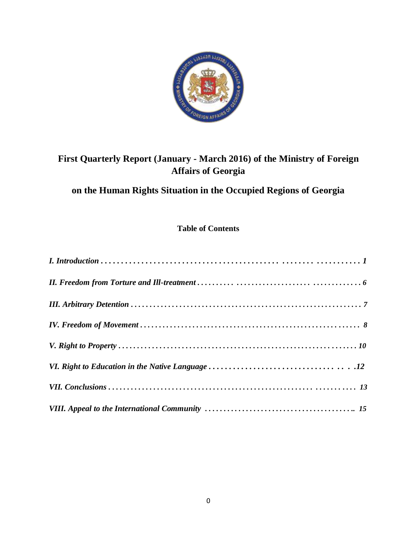

# **First Quarterly Report (January - March 2016) of the Ministry of Foreign Affairs of Georgia**

# **on the Human Rights Situation in the Occupied Regions of Georgia**

## **Table of Contents**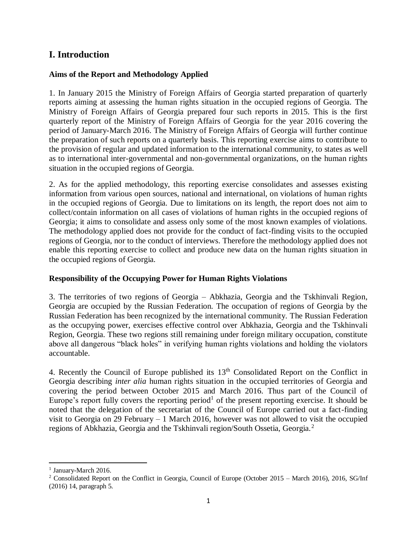## **I. Introduction**

#### **Aims of the Report and Methodology Applied**

1. In January 2015 the Ministry of Foreign Affairs of Georgia started preparation of quarterly reports aiming at assessing the human rights situation in the occupied regions of Georgia. The Ministry of Foreign Affairs of Georgia prepared four such reports in 2015. This is the first quarterly report of the Ministry of Foreign Affairs of Georgia for the year 2016 covering the period of January-March 2016. The Ministry of Foreign Affairs of Georgia will further continue the preparation of such reports on a quarterly basis. This reporting exercise aims to contribute to the provision of regular and updated information to the international community, to states as well as to international inter-governmental and non-governmental organizations, on the human rights situation in the occupied regions of Georgia.

2. As for the applied methodology, this reporting exercise consolidates and assesses existing information from various open sources, national and international, on violations of human rights in the occupied regions of Georgia. Due to limitations on its length, the report does not aim to collect/contain information on all cases of violations of human rights in the occupied regions of Georgia; it aims to consolidate and assess only some of the most known examples of violations. The methodology applied does not provide for the conduct of fact-finding visits to the occupied regions of Georgia, nor to the conduct of interviews. Therefore the methodology applied does not enable this reporting exercise to collect and produce new data on the human rights situation in the occupied regions of Georgia.

#### **Responsibility of the Occupying Power for Human Rights Violations**

3. The territories of two regions of Georgia – Abkhazia, Georgia and the Tskhinvali Region, Georgia are occupied by the Russian Federation. The occupation of regions of Georgia by the Russian Federation has been recognized by the international community. The Russian Federation as the occupying power, exercises effective control over Abkhazia, Georgia and the Tskhinvali Region, Georgia. These two regions still remaining under foreign military occupation, constitute above all dangerous "black holes" in verifying human rights violations and holding the violators accountable.

4. Recently the Council of Europe published its  $13<sup>th</sup>$  Consolidated Report on the Conflict in Georgia describing *inter alia* human rights situation in the occupied territories of Georgia and covering the period between October 2015 and March 2016. Thus part of the Council of Europe's report fully covers the reporting period<sup>1</sup> of the present reporting exercise. It should be noted that the delegation of the secretariat of the Council of Europe carried out a fact-finding visit to Georgia on 29 February – 1 March 2016, however was not allowed to visit the occupied regions of Abkhazia, Georgia and the Tskhinvali region/South Ossetia, Georgia.<sup>2</sup>

 $\overline{a}$ <sup>1</sup> January-March 2016.

<sup>&</sup>lt;sup>2</sup> Consolidated Report on the Conflict in Georgia, Council of Europe (October 2015 – March 2016), 2016, SG/Inf (2016) 14, paragraph 5.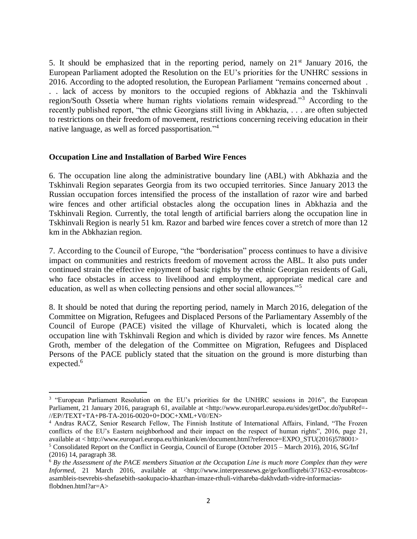5. It should be emphasized that in the reporting period, namely on  $21<sup>st</sup>$  January 2016, the European Parliament adopted the Resolution on the EU's priorities for the UNHRC sessions in 2016. According to the adopted resolution, the European Parliament "remains concerned about . . . lack of access by monitors to the occupied regions of Abkhazia and the Tskhinvali region/South Ossetia where human rights violations remain widespread."<sup>3</sup> According to the recently published report, "the ethnic Georgians still living in Abkhazia, . . . are often subjected to restrictions on their freedom of movement, restrictions concerning receiving education in their native language, as well as forced passportisation." 4

#### **Occupation Line and Installation of Barbed Wire Fences**

 $\overline{a}$ 

6. The occupation line along the administrative boundary line (ABL) with Abkhazia and the Tskhinvali Region separates Georgia from its two occupied territories. Since January 2013 the Russian occupation forces intensified the process of the installation of razor wire and barbed wire fences and other artificial obstacles along the occupation lines in Abkhazia and the Tskhinvali Region. Currently, the total length of artificial barriers along the occupation line in Tskhinvali Region is nearly 51 km. Razor and barbed wire fences cover a stretch of more than 12 km in the Abkhazian region.

7. According to the Council of Europe, "the "borderisation" process continues to have a divisive impact on communities and restricts freedom of movement across the ABL. It also puts under continued strain the effective enjoyment of basic rights by the ethnic Georgian residents of Gali, who face obstacles in access to livelihood and employment, appropriate medical care and education, as well as when collecting pensions and other social allowances."<sup>5</sup>

8. It should be noted that during the reporting period, namely in March 2016, delegation of the Committee on Migration, Refugees and Displaced Persons of the Parliamentary Assembly of the Council of Europe (PACE) visited the village of Khurvaleti, which is located along the occupation line with Tskhinvali Region and which is divided by razor wire fences. Ms Annette Groth, member of the delegation of the Committee on Migration, Refugees and Displaced Persons of the PACE publicly stated that the situation on the ground is more disturbing than expected.<sup>6</sup>

<sup>&</sup>lt;sup>3</sup> "European Parliament Resolution on the EU's priorities for the UNHRC sessions in 2016", the European Parliament, 21 January 2016, paragraph 61, available at <http://www.europarl.europa.eu/sides/getDoc.do?pubRef=-//EP//TEXT+TA+P8-TA-2016-0020+0+DOC+XML+V0//EN>

<sup>4</sup> Andras RACZ, Senior Research Fellow, The Finnish Institute of International Affairs, Finland, "The Frozen conflicts of the EU's Eastern neighborhood and their impact on the respect of human rights", 2016, page 21, available at < http://www.europarl.europa.eu/thinktank/en/document.html?reference=EXPO\_STU(2016)578001> <sup>5</sup> Consolidated Report on the Conflict in Georgia, Council of Europe (October 2015 – March 2016), 2016, SG/Inf (2016) 14, paragraph 38.

<sup>6</sup> *By the Assessment of the PACE members Situation at the Occupation Line is much more Complex than they were Informed*, 21 March 2016, available at <http://www.interpressnews.ge/ge/konfliqtebi/371632-evrosabtcosasambleis-tsevrebis-shefasebith-saokupacio-khazthan-imaze-rthuli-vithareba-dakhvdath-vidre-informaciasflobdnen.html?ar=A>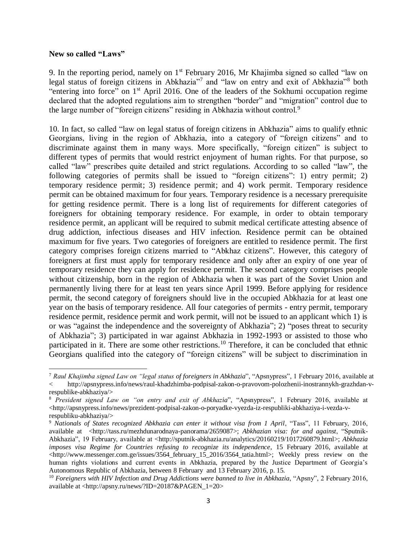#### **New so called "Laws"**

 $\overline{a}$ 

9. In the reporting period, namely on 1<sup>st</sup> February 2016, Mr Khajimba signed so called "law on legal status of foreign citizens in Abkhazia"7 and "law on entry and exit of Abkhazia"8 both "entering into force" on 1st April 2016. One of the leaders of the Sokhumi occupation regime declared that the adopted regulations aim to strengthen "border" and "migration" control due to the large number of "foreign citizens" residing in Abkhazia without control.<sup>9</sup>

10. In fact, so called "law on legal status of foreign citizens in Abkhazia" aims to qualify ethnic Georgians, living in the region of Abkhazia, into a category of "foreign citizens" and to discriminate against them in many ways. More specifically, "foreign citizen" is subject to different types of permits that would restrict enjoyment of human rights. For that purpose, so called "law" prescribes quite detailed and strict regulations. According to so called "law", the following categories of permits shall be issued to "foreign citizens": 1) entry permit; 2) temporary residence permit; 3) residence permit; and 4) work permit. Temporary residence permit can be obtained maximum for four years. Temporary residence is a necessary prerequisite for getting residence permit. There is a long list of requirements for different categories of foreigners for obtaining temporary residence. For example, in order to obtain temporary residence permit, an applicant will be required to submit medical certificate attesting absence of drug addiction, infectious diseases and HIV infection. Residence permit can be obtained maximum for five years. Two categories of foreigners are entitled to residence permit. The first category comprises foreign citizens married to "Abkhaz citizens". However, this category of foreigners at first must apply for temporary residence and only after an expiry of one year of temporary residence they can apply for residence permit. The second category comprises people without citizenship, born in the region of Abkhazia when it was part of the Soviet Union and permanently living there for at least ten years since April 1999. Before applying for residence permit, the second category of foreigners should live in the occupied Abkhazia for at least one year on the basis of temporary residence. All four categories of permits - entry permit, temporary residence permit, residence permit and work permit, will not be issued to an applicant which 1) is or was "against the independence and the sovereignty of Abkhazia"; 2) "poses threat to security of Abkhazia"; 3) participated in war against Abkhazia in 1992-1993 or assisted to those who participated in it. There are some other restrictions.<sup>10</sup> Therefore, it can be concluded that ethnic Georgians qualified into the category of "foreign citizens" will be subject to discrimination in

<sup>7</sup> *Raul Khajimba signed Law on "legal status of foreigners in Abkhazia*", "Apsnypress", 1 February 2016, available at < http://apsnypress.info/news/raul-khadzhimba-podpisal-zakon-o-pravovom-polozhenii-inostrannykh-grazhdan-vrespublike-abkhaziya/>

<sup>8</sup> *President signed Law on "on entry and exit of Abkhazia*", "Apsnypress", 1 February 2016, available at  $\langle$ http://apsnypress.info/news/prezident-podpisal-zakon-o-poryadke-vyezda-iz-respubliki-abkhaziya-i-vezda-v[respubliku-abkhaziya/>](http://apsnypress.info/news/prezident-podpisal-zakon-o-poryadke-vyezda-iz-respubliki-abkhaziya-i-vezda-v-respubliku-abkhaziya/)

<sup>&</sup>lt;sup>9</sup> Nationals of States recognized Abkhazia can enter it without visa from 1 April, "Tass", 11 February, 2016, available at [<http://tass.ru/mezhdunarodnaya-panorama/2659087>](http://tass.ru/mezhdunarodnaya-panorama/2659087); *Abkhazian visa: for and against*, "Sputnik-Abkhazia", 19 February, available at [<http://sputnik-abkhazia.ru/analytics/20160219/1017260879.html>](http://sputnik-abkhazia.ru/analytics/20160219/1017260879.html); *Abkhazia imposes visa Regime for Countries refusing to recognize its independence*, 15 February 2016, available at  $\langle$ http://www.messenger.com.ge/issues/3564\_february\_15\_2016/3564\_tatia.html>; Weekly press review on the human rights violations and current events in Abkhazia, prepared by the Justice Department of Georgia's Autonomous Republic of Abkhazia, between 8 February and 13 February 2016, p. 15.

<sup>10</sup> *Foreigners with HIV Infection and Drug Addictions were banned to live in Abkhazia*, "Apsny", 2 February 2016, available at <http://apsny.ru/news/?ID=20187&PAGEN\_1=20>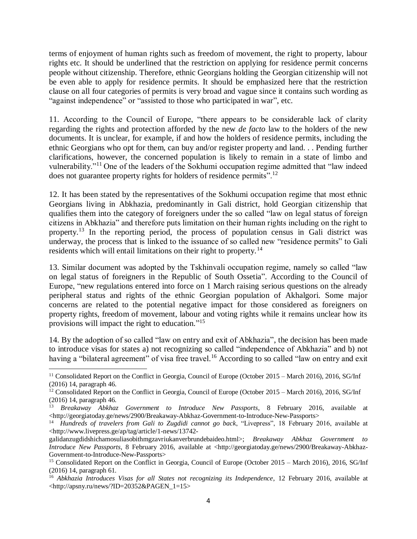terms of enjoyment of human rights such as freedom of movement, the right to property, labour rights etc. It should be underlined that the restriction on applying for residence permit concerns people without citizenship. Therefore, ethnic Georgians holding the Georgian citizenship will not be even able to apply for residence permits. It should be emphasized here that the restriction clause on all four categories of permits is very broad and vague since it contains such wording as "against independence" or "assisted to those who participated in war", etc.

11. According to the Council of Europe, "there appears to be considerable lack of clarity regarding the rights and protection afforded by the new *de facto* law to the holders of the new documents. It is unclear, for example, if and how the holders of residence permits, including the ethnic Georgians who opt for them, can buy and/or register property and land. . . Pending further clarifications, however, the concerned population is likely to remain in a state of limbo and vulnerability."<sup>11</sup> One of the leaders of the Sokhumi occupation regime admitted that "law indeed does not guarantee property rights for holders of residence permits".<sup>12</sup>

12. It has been stated by the representatives of the Sokhumi occupation regime that most ethnic Georgians living in Abkhazia, predominantly in Gali district, hold Georgian citizenship that qualifies them into the category of foreigners under the so called "law on legal status of foreign citizens in Abkhazia" and therefore puts limitation on their human rights including on the right to property.<sup>13</sup> In the reporting period, the process of population census in Gali district was underway, the process that is linked to the issuance of so called new "residence permits" to Gali residents which will entail limitations on their right to property.<sup>14</sup>

13. Similar document was adopted by the Tskhinvali occupation regime, namely so called "law on legal status of foreigners in the Republic of South Ossetia". According to the Council of Europe, "new regulations entered into force on 1 March raising serious questions on the already peripheral status and rights of the ethnic Georgian population of Akhalgori. Some major concerns are related to the potential negative impact for those considered as foreigners on property rights, freedom of movement, labour and voting rights while it remains unclear how its provisions will impact the right to education."<sup>15</sup>

14. By the adoption of so called "law on entry and exit of Abkhazia", the decision has been made to introduce visas for states a) not recognizing so called "independence of Abkhazia" and b) not having a "bilateral agreement" of visa free travel.<sup>16</sup> According to so called "law on entry and exit

 $\overline{a}$ <sup>11</sup> Consolidated Report on the Conflict in Georgia, Council of Europe (October 2015 – March 2016), 2016, SG/Inf (2016) 14, paragraph 46.

<sup>&</sup>lt;sup>12</sup> Consolidated Report on the Conflict in Georgia, Council of Europe (October 2015 – March 2016), 2016, SG/Inf (2016) 14, paragraph 46.

<sup>13</sup> *Breakaway Abkhaz Government to Introduce New Passports*, 8 February 2016, available at <http://georgiatoday.ge/news/2900/Breakaway-Abkhaz-Government-to-Introduce-New-Passports>

<sup>14</sup> *Hundreds of travelers from Gali to Zugdidi cannot go back*, "Livepress", 18 February 2016, available at <http://www.livepress.ge/ap/tag/article/1-news/13742-

galidanzugdidshichamosuliasobithmgzavriukanverbrundebaideo.html>; *Breakaway Abkhaz Government to Introduce New Passports*, 8 February 2016, available at <http://georgiatoday.ge/news/2900/Breakaway-Abkhaz-Government-to-Introduce-New-Passports>

<sup>15</sup> Consolidated Report on the Conflict in Georgia, Council of Europe (October 2015 – March 2016), 2016, SG/Inf (2016) 14, paragraph 61.

<sup>16</sup> *Abkhazia Introduces Visas for all States not recognizing its Independence*, 12 February 2016, available at <http://apsny.ru/news/?ID=20352&PAGEN\_1=15>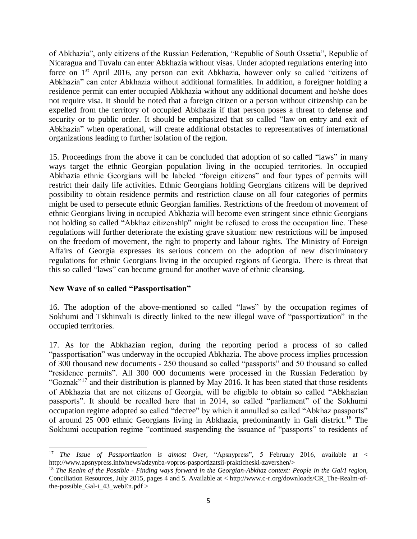of Abkhazia", only citizens of the Russian Federation, "Republic of South Ossetia", Republic of Nicaragua and Tuvalu can enter Abkhazia without visas. Under adopted regulations entering into force on 1<sup>st</sup> April 2016, any person can exit Abkhazia, however only so called "citizens of Abkhazia" can enter Abkhazia without additional formalities. In addition, a foreigner holding a residence permit can enter occupied Abkhazia without any additional document and he/she does not require visa. It should be noted that a foreign citizen or a person without citizenship can be expelled from the territory of occupied Abkhazia if that person poses a threat to defense and security or to public order. It should be emphasized that so called "law on entry and exit of Abkhazia" when operational, will create additional obstacles to representatives of international organizations leading to further isolation of the region.

15. Proceedings from the above it can be concluded that adoption of so called "laws" in many ways target the ethnic Georgian population living in the occupied territories. In occupied Abkhazia ethnic Georgians will be labeled "foreign citizens" and four types of permits will restrict their daily life activities. Ethnic Georgians holding Georgians citizens will be deprived possibility to obtain residence permits and restriction clause on all four categories of permits might be used to persecute ethnic Georgian families. Restrictions of the freedom of movement of ethnic Georgians living in occupied Abkhazia will become even stringent since ethnic Georgians not holding so called "Abkhaz citizenship" might be refused to cross the occupation line. These regulations will further deteriorate the existing grave situation: new restrictions will be imposed on the freedom of movement, the right to property and labour rights. The Ministry of Foreign Affairs of Georgia expresses its serious concern on the adoption of new discriminatory regulations for ethnic Georgians living in the occupied regions of Georgia. There is threat that this so called "laws" can become ground for another wave of ethnic cleansing.

#### **New Wave of so called "Passportisation"**

16. The adoption of the above-mentioned so called "laws" by the occupation regimes of Sokhumi and Tskhinvali is directly linked to the new illegal wave of "passportization" in the occupied territories.

17. As for the Abkhazian region, during the reporting period a process of so called "passportisation" was underway in the occupied Abkhazia. The above process implies procession of 300 thousand new documents - 250 thousand so called "passports" and 50 thousand so called "residence permits". All 300 000 documents were processed in the Russian Federation by "Goznak"<sup>17</sup> and their distribution is planned by May 2016. It has been stated that those residents of Abkhazia that are not citizens of Georgia, will be eligible to obtain so called "Abkhazian passports". It should be recalled here that in 2014, so called "parliament" of the Sokhumi occupation regime adopted so called "decree" by which it annulled so called "Abkhaz passports" of around 25 000 ethnic Georgians living in Abkhazia, predominantly in Gali district.<sup>18</sup> The Sokhumi occupation regime "continued suspending the issuance of "passports" to residents of

 $\overline{a}$ <sup>17</sup> *The Issue of Passportization is almost Over*, "Apsnypress", 5 February 2016, available at < http://www.apsnypress.info/news/adzynba-vopros-pasportizatsii-prakticheski-zavershen/>

<sup>18</sup> *The Realm of the Possible - Finding ways forward in the Georgian-Abkhaz context: People in the Gal/I region,* Conciliation Resources, July 2015, pages 4 and 5. Available at < http://www.c-r.org/downloads/CR\_The-Realm-ofthe-possible\_Gal-i\_43\_webEn.pdf >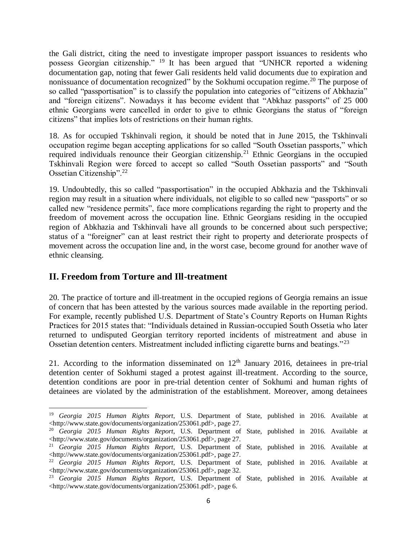the Gali district, citing the need to investigate improper passport issuances to residents who possess Georgian citizenship." <sup>19</sup> It has been argued that "UNHCR reported a widening documentation gap, noting that fewer Gali residents held valid documents due to expiration and nonissuance of documentation recognized" by the Sokhumi occupation regime.<sup>20</sup> The purpose of so called "passportisation" is to classify the population into categories of "citizens of Abkhazia" and "foreign citizens". Nowadays it has become evident that "Abkhaz passports" of 25 000 ethnic Georgians were cancelled in order to give to ethnic Georgians the status of "foreign citizens" that implies lots of restrictions on their human rights.

18. As for occupied Tskhinvali region, it should be noted that in June 2015, the Tskhinvali occupation regime began accepting applications for so called "South Ossetian passports," which required individuals renounce their Georgian citizenship.<sup>21</sup> Ethnic Georgians in the occupied Tskhinvali Region were forced to accept so called "South Ossetian passports" and "South Ossetian Citizenship".<sup>22</sup>

19. Undoubtedly, this so called "passportisation" in the occupied Abkhazia and the Tskhinvali region may result in a situation where individuals, not eligible to so called new "passports" or so called new "residence permits", face more complications regarding the right to property and the freedom of movement across the occupation line. Ethnic Georgians residing in the occupied region of Abkhazia and Tskhinvali have all grounds to be concerned about such perspective; status of a "foreigner" can at least restrict their right to property and deteriorate prospects of movement across the occupation line and, in the worst case, become ground for another wave of ethnic cleansing.

## **II. Freedom from Torture and Ill-treatment**

 $\overline{\phantom{a}}$ 

20. The practice of torture and ill-treatment in the occupied regions of Georgia remains an issue of concern that has been attested by the various sources made available in the reporting period. For example, recently published U.S. Department of State's Country Reports on Human Rights Practices for 2015 states that: "Individuals detained in Russian-occupied South Ossetia who later returned to undisputed Georgian territory reported incidents of mistreatment and abuse in Ossetian detention centers. Mistreatment included inflicting cigarette burns and beatings."<sup>23</sup>

21. According to the information disseminated on  $12<sup>th</sup>$  January 2016, detainees in pre-trial detention center of Sokhumi staged a protest against ill-treatment. According to the source, detention conditions are poor in pre-trial detention center of Sokhumi and human rights of detainees are violated by the administration of the establishment. Moreover, among detainees

<sup>19</sup> *Georgia 2015 Human Rights Report*, U.S. Department of State, published in 2016. Available at [<http://www.state.gov/documents/organization/253061.pdf>](http://www.state.gov/documents/organization/253061.pdf), page 27. <sup>20</sup> *Georgia 2015 Human Rights Report*, U.S. Department of State, published in 2016. Available at [<http://www.state.gov/documents/organization/253061.pdf>](http://www.state.gov/documents/organization/253061.pdf), page 27. <sup>21</sup> *Georgia 2015 Human Rights Report*, U.S. Department of State, published in 2016. Available at [<http://www.state.gov/documents/organization/253061.pdf>](http://www.state.gov/documents/organization/253061.pdf), page 27. <sup>22</sup> *Georgia 2015 Human Rights Report*, U.S. Department of State, published in 2016. Available at [<http://www.state.gov/documents/organization/253061.pdf>](http://www.state.gov/documents/organization/253061.pdf), page 32. <sup>23</sup> *Georgia 2015 Human Rights Report*, U.S. Department of State, published in 2016. Available at

[<sup>&</sup>lt;http://www.state.gov/documents/organization/253061.pdf>](http://www.state.gov/documents/organization/253061.pdf), page 6.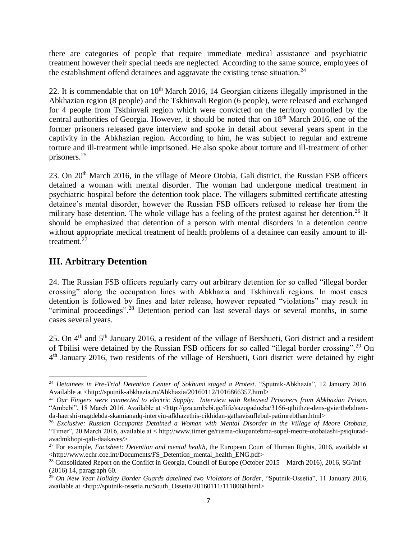there are categories of people that require immediate medical assistance and psychiatric treatment however their special needs are neglected. According to the same source, employees of the establishment offend detainees and aggravate the existing tense situation.<sup>24</sup>

22. It is commendable that on  $10<sup>th</sup>$  March 2016, 14 Georgian citizens illegally imprisoned in the Abkhazian region (8 people) and the Tskhinvali Region (6 people), were released and exchanged for 4 people from Tskhinvali region which were convicted on the territory controlled by the central authorities of Georgia. However, it should be noted that on  $18<sup>th</sup>$  March 2016, one of the former prisoners released gave interview and spoke in detail about several years spent in the captivity in the Abkhazian region. According to him, he was subject to regular and extreme torture and ill-treatment while imprisoned. He also spoke about torture and ill-treatment of other prisoners.<sup>25</sup>

23. On 20<sup>th</sup> March 2016, in the village of Meore Otobia, Gali district, the Russian FSB officers detained a woman with mental disorder. The woman had undergone medical treatment in psychiatric hospital before the detention took place. The villagers submitted certificate attesting detainee's mental disorder, however the Russian FSB officers refused to release her from the military base detention. The whole village has a feeling of the protest against her detention.<sup>26</sup> It should be emphasized that detention of a person with mental disorders in a detention centre without appropriate medical treatment of health problems of a detainee can easily amount to illtreatment.<sup>27</sup>

## **III. Arbitrary Detention**

 $\overline{a}$ 

24. The Russian FSB officers regularly carry out arbitrary detention for so called "illegal border crossing" along the occupation lines with Abkhazia and Tskhinvali regions. In most cases detention is followed by fines and later release, however repeated "violations" may result in "criminal proceedings".<sup>28</sup> Detention period can last several days or several months, in some cases several years.

25. On 4<sup>th</sup> and 5<sup>th</sup> January 2016, a resident of the village of Bershueti, Gori district and a resident of Tbilisi were detained by the Russian FSB officers for so called "illegal border crossing".<sup>29</sup> On 4<sup>th</sup> January 2016, two residents of the village of Bershueti, Gori district were detained by eight

<sup>&</sup>lt;sup>24</sup> *Detainees in Pre-Trial Detention Center of Sokhumi staged a Protest*. "Sputnik-Abkhazia", 12 January 2016. Available at <http://sputnik-abkhazia.ru/Abkhazia/20160112/1016866357.html>

*<sup>25</sup> Our Fingers were connected to electric Supply: Interview with Released Prisoners from Abkhazian Prison.*  "Ambebi", 18 March 2016. Available at <http://gza.ambebi.ge/life/sazogadoeba/3166-qthithze-dens-gvierthebdnenda-haershi-magdebda-skamianadq-interviu-afkhazethis-cikhidan-gathavisuflebul-patimrebthan.html>

<sup>26</sup> *Exclusive: Russian Occupants Detained a Woman with Mental Disorder in the Village of Meore Otobaia*, "Timer", 20 March 2016, available at < http://www.timer.ge/rusma-okupantebma-sopel-meore-otobaiashi-psiqiuradavadmkhopi-qali-daakaves/>

<sup>27</sup> For example, *Factsheet: Detention and mental health*, the European Court of Human Rights, 2016, available at <http://www.echr.coe.int/Documents/FS\_Detention\_mental\_health\_ENG.pdf>

<sup>&</sup>lt;sup>28</sup> Consolidated Report on the Conflict in Georgia, Council of Europe (October 2015 – March 2016), 2016, SG/Inf (2016) 14, paragraph 60.

<sup>&</sup>lt;sup>29</sup> On New Year Holiday Border Guards datelined two Violators of Border, "Sputnik-Ossetia", 11 January 2016, available at <http://sputnik-ossetia.ru/South\_Ossetia/20160111/1118068.html>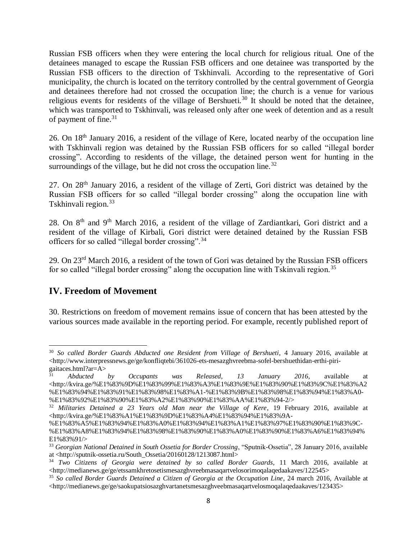Russian FSB officers when they were entering the local church for religious ritual. One of the detainees managed to escape the Russian FSB officers and one detainee was transported by the Russian FSB officers to the direction of Tskhinvali. According to the representative of Gori municipality, the church is located on the territory controlled by the central government of Georgia and detainees therefore had not crossed the occupation line; the church is a venue for various religious events for residents of the village of Bershueti.<sup>30</sup> It should be noted that the detainee, which was transported to Tskhinvali, was released only after one week of detention and as a result of payment of fine.<sup>31</sup>

26. On 18th January 2016, a resident of the village of Kere, located nearby of the occupation line with Tskhinvali region was detained by the Russian FSB officers for so called "illegal border crossing". According to residents of the village, the detained person went for hunting in the surroundings of the village, but he did not cross the occupation line.<sup>32</sup>

27. On 28th January 2016, a resident of the village of Zerti, Gori district was detained by the Russian FSB officers for so called "illegal border crossing" along the occupation line with Tskhinvali region.<sup>33</sup>

28. On  $8<sup>th</sup>$  and  $9<sup>th</sup>$  March 2016, a resident of the village of Zardiantkari, Gori district and a resident of the village of Kirbali, Gori district were detained detained by the Russian FSB officers for so called "illegal border crossing".<sup>34</sup>

29. On 23rd March 2016, a resident of the town of Gori was detained by the Russian FSB officers for so called "illegal border crossing" along the occupation line with Tskinvali region.<sup>35</sup>

## **IV. Freedom of Movement**

30. Restrictions on freedom of movement remains issue of concern that has been attested by the various sources made available in the reporting period. For example, recently published report of

 $\overline{\phantom{a}}$ <sup>30</sup> *So called Border Guards Abducted one Resident from Village of Bershueti*, 4 January 2016, available at  $\langle$ http://www.interpressnews.ge/ge/konfliqtebi/361026-ets-mesazghvreebma-sofel-bershuethidan-erthi-pirigaitaces.html?ar= $A>$ <sup>31</sup>

<sup>31</sup> *Abducted by Occupants was Released, 13 January 2016*, available at <http://kvira.ge/%E1%83%9D%E1%83%99%E1%83%A3%E1%83%9E%E1%83%90%E1%83%9C%E1%83%A2 %E1%83%94%E1%83%91%E1%83%98%E1%83%A1-%E1%83%9B%E1%83%98%E1%83%94%E1%83%A0- %E1%83%92%E1%83%90%E1%83%A2%E1%83%90%E1%83%AA%E1%83%94-2/>

<sup>32</sup> *Militaries Detained a 23 Years old Man near the Village of Kere*, 19 February 2016, available at <http://kvira.ge/%E1%83%A1%E1%83%9D%E1%83%A4%E1%83%94%E1%83%9A-

<sup>%</sup>E1%83%A5%E1%83%94%E1%83%A0%E1%83%94%E1%83%A1%E1%83%97%E1%83%90%E1%83%9C- %E1%83%A8%E1%83%94%E1%83%98%E1%83%90%E1%83%A0%E1%83%90%E1%83%A6%E1%83%94% E1%83%91/>

<sup>33</sup> *Georgian National Detained in South Ossetia for Border Crossing*, "Sputnik-Ossetia", 28 January 2016, available at <http://sputnik-ossetia.ru/South\_Ossetia/20160128/1213087.html>

<sup>34</sup> *Two Citizens of Georgia were detained by so called Border Guards*, 11 March 2016, available at  $\langle$ http://medianews.ge/ge/etssamkhretosetismesazghvreebmasaqartvelosorimoqalaqedaakaves/122545>

<sup>35</sup> *So called Border Guards Detained a Citizen of Georgia at the Occupation Line*, 24 march 2016, Available at <http://medianews.ge/ge/saokupatsiosazghvartanetsmesazghveebmasaqartvelosmoqalaqedaakaves/123435>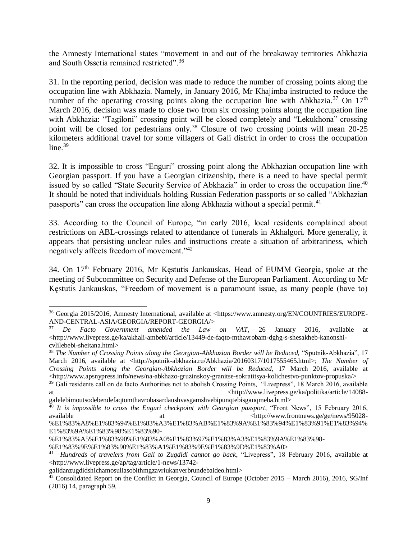the Amnesty International states "movement in and out of the breakaway territories Abkhazia and South Ossetia remained restricted".<sup>36</sup>

31. In the reporting period, decision was made to reduce the number of crossing points along the occupation line with Abkhazia. Namely, in January 2016, Mr Khajimba instructed to reduce the number of the operating crossing points along the occupation line with Abkhazia.<sup>37</sup> On  $17<sup>th</sup>$ March 2016, decision was made to close two from six crossing points along the occupation line with Abkhazia: "Tagiloni" crossing point will be closed completely and "Lekukhona" crossing point will be closed for pedestrians only.<sup>38</sup> Closure of two crossing points will mean 20-25 kilometers additional travel for some villagers of Gali district in order to cross the occupation  $line<sup>39</sup>$ 

32. It is impossible to cross "Enguri" crossing point along the Abkhazian occupation line with Georgian passport. If you have a Georgian citizenship, there is a need to have special permit issued by so called "State Security Service of Abkhazia" in order to cross the occupation line.<sup>40</sup> It should be noted that individuals holding Russian Federation passports or so called "Abkhazian passports" can cross the occupation line along Abkhazia without a special permit.<sup>41</sup>

33. According to the Council of Europe, "in early 2016, local residents complained about restrictions on ABL-crossings related to attendance of funerals in Akhalgori. More generally, it appears that persisting unclear rules and instructions create a situation of arbitrariness, which negatively affects freedom of movement."<sup>42</sup>

34. On 17th February 2016, Mr Kęstutis Jankauskas, Head of EUMM Georgia, spoke at the meeting of Subcommittee on Security and Defense of the European Parliament. According to Mr Kęstutis Jankauskas, "Freedom of movement is a paramount issue, as many people (have to)

 $\overline{a}$ <sup>36</sup> Georgia 2015/2016, Amnesty International, available at [<https://www.amnesty.org/EN/COUNTRIES/EUROPE-](https://www.amnesty.org/EN/COUNTRIES/EUROPE-AND-CENTRAL-ASIA/GEORGIA/REPORT-GEORGIA/)[AND-CENTRAL-ASIA/GEORGIA/REPORT-GEORGIA/>](https://www.amnesty.org/EN/COUNTRIES/EUROPE-AND-CENTRAL-ASIA/GEORGIA/REPORT-GEORGIA/)

<sup>37</sup> *De Facto Government amended the Law on VAT*, 26 January 2016, available at  $\langle$ http://www.livepress.ge/ka/akhali-ambebi/article/13449-de-faqto-mthavrobam-dghg-s-shesakheb-kanonshicvlilebebi-sheitana.html>

<sup>38</sup> *The Number of Crossing Points along the Georgian-Abkhazian Border will be Reduced,* "Sputnik-Abkhazia", 17 March 2016, available at <http://sputnik-abkhazia.ru/Abkhazia/20160317/1017555465.html>; *The Number of Crossing Points along the Georgian-Abkhazian Border will be Reduced,* 17 March 2016, available at <http://www.apsnypress.info/news/na-abkhazo-gruzinskoy-granitse-sokratitsya-kolichestvo-punktov-propuska/>

<sup>&</sup>lt;sup>39</sup> Gali residents call on de facto Authorities not to abolish Crossing Points, "Livepress", 18 March 2016, available at at the state of the state of the state of the state  $\langle \text{http://www.livepress.get/ka/politika/article/14088} \rangle$ galelebimoutsodebendefaqtomthavrobasardaushvasgamshvebipunqtebisgauqmeba.html>

<sup>&</sup>lt;sup>40</sup> It is impossible to cross the Enguri checkpoint with Georgian passport, "Front News", 15 February 2016, available at the at  $\mu$  at the  $\mu$  -http://www.frontnews.ge/ge/news/95028-%E1%83%A8%E1%83%94%E1%83%A3%E1%83%AB%E1%83%9A%E1%83%94%E1%83%91%E1%83%94% E1%83%9A%E1%83%98%E1%83%90-

<sup>%</sup>E1%83%A5%E1%83%90%E1%83%A0%E1%83%97%E1%83%A3%E1%83%9A%E1%83%98-

<sup>%</sup>E1%83%9E%E1%83%90%E1%83%A1%E1%83%9E%E1%83%9D%E1%83%A0>

<sup>41</sup> *Hundreds of travelers from Gali to Zugdidi cannot go back*, "Livepress", 18 February 2016, available at <http://www.livepress.ge/ap/tag/article/1-news/13742-

galidanzugdidshichamosuliasobithmgzavriukanverbrundebaideo.html>

 $42$  Consolidated Report on the Conflict in Georgia, Council of Europe (October 2015 – March 2016), 2016, SG/Inf (2016) 14, paragraph 59.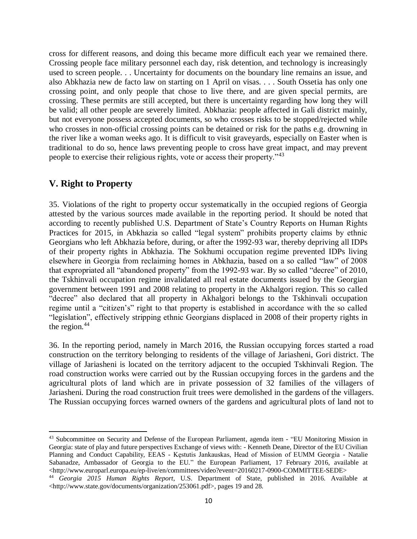cross for different reasons, and doing this became more difficult each year we remained there. Crossing people face military personnel each day, risk detention, and technology is increasingly used to screen people. . . Uncertainty for documents on the boundary line remains an issue, and also Abkhazia new de facto law on starting on 1 April on visas. . . . South Ossetia has only one crossing point, and only people that chose to live there, and are given special permits, are crossing. These permits are still accepted, but there is uncertainty regarding how long they will be valid; all other people are severely limited. Abkhazia: people affected in Gali district mainly, but not everyone possess accepted documents, so who crosses risks to be stopped/rejected while who crosses in non-official crossing points can be detained or risk for the paths e.g. drowning in the river like a woman weeks ago. It is difficult to visit graveyards, especially on Easter when is traditional to do so, hence laws preventing people to cross have great impact, and may prevent people to exercise their religious rights, vote or access their property."<sup>43</sup>

## **V. Right to Property**

35. Violations of the right to property occur systematically in the occupied regions of Georgia attested by the various sources made available in the reporting period. It should be noted that according to recently published U.S. Department of State's Country Reports on Human Rights Practices for 2015, in Abkhazia so called "legal system" prohibits property claims by ethnic Georgians who left Abkhazia before, during, or after the 1992-93 war, thereby depriving all IDPs of their property rights in Abkhazia. The Sokhumi occupation regime prevented IDPs living elsewhere in Georgia from reclaiming homes in Abkhazia, based on a so called "law" of 2008 that expropriated all "abandoned property" from the 1992-93 war. By so called "decree" of 2010, the Tskhinvali occupation regime invalidated all real estate documents issued by the Georgian government between 1991 and 2008 relating to property in the Akhalgori region. This so called "decree" also declared that all property in Akhalgori belongs to the Tskhinvali occupation regime until a "citizen's" right to that property is established in accordance with the so called "legislation", effectively stripping ethnic Georgians displaced in 2008 of their property rights in the region. $44$ 

36. In the reporting period, namely in March 2016, the Russian occupying forces started a road construction on the territory belonging to residents of the village of Jariasheni, Gori district. The village of Jariasheni is located on the territory adjacent to the occupied Tskhinvali Region. The road construction works were carried out by the Russian occupying forces in the gardens and the agricultural plots of land which are in private possession of 32 families of the villagers of Jariasheni. During the road construction fruit trees were demolished in the gardens of the villagers. The Russian occupying forces warned owners of the gardens and agricultural plots of land not to

 $\overline{a}$ <sup>43</sup> Subcommittee on Security and Defense of the European Parliament, agenda item - "EU Monitoring Mission in Georgia: state of play and future perspectives Exchange of views with: - Kenneth Deane, Director of the EU Civilian Planning and Conduct Capability, EEAS - Kęstutis Jankauskas, Head of Mission of EUMM Georgia - Natalie Sabanadze, Ambassador of Georgia to the EU." the European Parliament, 17 February 2016, available at <http://www.europarl.europa.eu/ep-live/en/committees/video?event=20160217-0900-COMMITTEE-SEDE>

<sup>44</sup> *Georgia 2015 Human Rights Report*, U.S. Department of State, published in 2016. Available at [<http://www.state.gov/documents/organization/253061.pdf>](http://www.state.gov/documents/organization/253061.pdf), pages 19 and 28.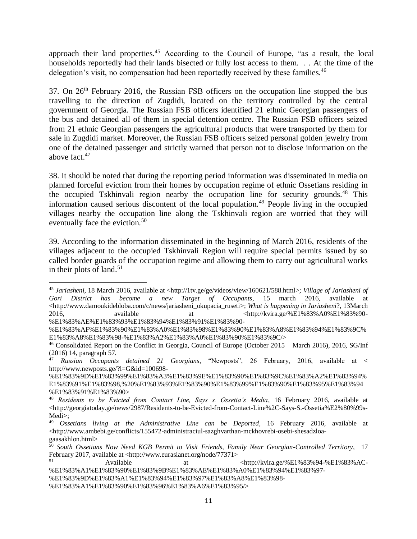approach their land properties.<sup>45</sup> According to the Council of Europe, "as a result, the local households reportedly had their lands bisected or fully lost access to them. . . At the time of the delegation's visit, no compensation had been reportedly received by these families.<sup>46</sup>

37. On 26th February 2016, the Russian FSB officers on the occupation line stopped the bus travelling to the direction of Zugdidi, located on the territory controlled by the central government of Georgia. The Russian FSB officers identified 21 ethnic Georgian passengers of the bus and detained all of them in special detention centre. The Russian FSB officers seized from 21 ethnic Georgian passengers the agricultural products that were transported by them for sale in Zugdidi market. Moreover, the Russian FSB officers seized personal golden jewelry from one of the detained passenger and strictly warned that person not to disclose information on the above fact. 47

38. It should be noted that during the reporting period information was disseminated in media on planned forceful eviction from their homes by occupation regime of ethnic Ossetians residing in the occupied Tskhinvali region nearby the occupation line for security grounds.<sup>48</sup> This information caused serious discontent of the local population.<sup>49</sup> People living in the occupied villages nearby the occupation line along the Tskhinvali region are worried that they will eventually face the eviction.<sup>50</sup>

39. According to the information disseminated in the beginning of March 2016, residents of the villages adjacent to the occupied Tskhinvali Region will require special permits issued by so called border guards of the occupation regime and allowing them to carry out agricultural works in their plots of land. 51

 $\overline{\phantom{a}}$ 

<sup>45</sup> *Jariasheni*, 18 March 2016, available at [<http://1tv.ge/ge/videos/view/160621/588.html>](http://1tv.ge/ge/videos/view/160621/588.html); *Village of Jariasheni of Gori District has become a new Target of Occupants*, 15 march 2016, available at [<http://www.damoukidebloba.com/c/news/jariasheni\\_okupacia\\_ruseti>](http://www.damoukidebloba.com/c/news/jariasheni_okupacia_ruseti); *What is happening in Jariasheni*?, 13March 2016, available at the state at the state at the state at the state  $\langle \text{http://kvira.ge/%E1%83%AO/8E1%83%90} \rangle$ %E1%83%AE%E1%83%93%E1%83%94%E1%83%91%E1%83%90-

<sup>%</sup>E1%83%AF%E1%83%90%E1%83%A0%E1%83%98%E1%83%90%E1%83%A8%E1%83%94%E1%83%9C% E1%83%A8%E1%83%98-%E1%83%A2%E1%83%A0%E1%83%90%E1%83%9C/>

<sup>46</sup> Consolidated Report on the Conflict in Georgia, Council of Europe (October 2015 – March 2016), 2016, SG/Inf (2016) 14, paragraph 57.

<sup>47</sup> *Russian Occupants detained 21 Georgians*, "Newposts", 26 February, 2016, available at < http://www.newposts.ge/?l=G&id=100698-

<sup>%</sup>E1%83%9D%E1%83%99%E1%83%A3%E1%83%9E%E1%83%90%E1%83%9C%E1%83%A2%E1%83%94% E1%83%91%E1%83%98,%20%E1%83%93%E1%83%90%E1%83%99%E1%83%90%E1%83%95%E1%83%94 %E1%83%91%E1%83%90>

<sup>48</sup> *Residents to be Evicted from Contact Line, Says s. Ossetia's Media*, 16 February 2016, available at  $\lt$ http://georgiatoday.ge/news/2987/Residents-to-be-Evicted-from-Contact-Line%2C-Says-S.-Ossetia%E2%80%99s-Medi>:

<sup>49</sup> *Ossetians living at the Administrative Line can be Deported*, 16 February 2016, available at  $\langle$ http://www.ambebi.ge/conflicts/155472-administraciul-sazghvarthan-mckhovrebi-osebi-shesadzloagaasakhlon.html>

<sup>50</sup> *South Ossetians Now Need KGB Permit to Visit Friends, Family Near Georgian-Controlled Territory*, 17 February 2017, available at <http://www.eurasianet.org/node/77371>

<sup>51</sup> Available at <http://kvira.ge/%E1%83%94-%E1%83%AC- %E1%83%A1%E1%83%90%E1%83%9B%E1%83%AE%E1%83%A0%E1%83%94%E1%83%97-

<sup>%</sup>E1%83%9D%E1%83%A1%E1%83%94%E1%83%97%E1%83%A8%E1%83%98-

<sup>%</sup>E1%83%A1%E1%83%90%E1%83%96%E1%83%A6%E1%83%95/>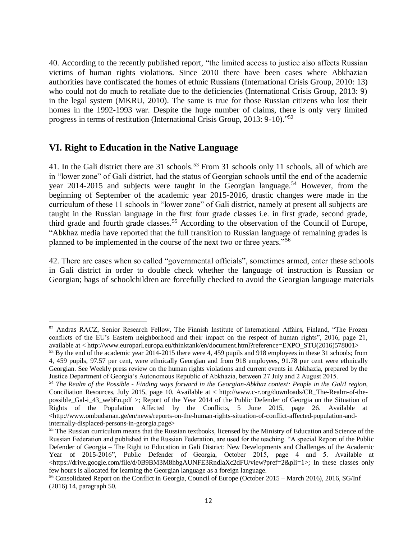40. According to the recently published report, "the limited access to justice also affects Russian victims of human rights violations. Since 2010 there have been cases where Abkhazian authorities have confiscated the homes of ethnic Russians (International Crisis Group, 2010: 13) who could not do much to retaliate due to the deficiencies (International Crisis Group, 2013: 9) in the legal system (MKRU, 2010). The same is true for those Russian citizens who lost their homes in the 1992-1993 war. Despite the huge number of claims, there is only very limited progress in terms of restitution (International Crisis Group, 2013: 9-10)." 52

## **VI. Right to Education in the Native Language**

 $\overline{a}$ 

41. In the Gali district there are 31 schools.<sup>53</sup> From 31 schools only 11 schools, all of which are in "lower zone" of Gali district, had the status of Georgian schools until the end of the academic year  $2014-2015$  and subjects were taught in the Georgian language.<sup>54</sup> However, from the beginning of September of the academic year 2015-2016, drastic changes were made in the curriculum of these 11 schools in "lower zone" of Gali district, namely at present all subjects are taught in the Russian language in the first four grade classes i.e. in first grade, second grade, third grade and fourth grade classes.<sup>55</sup> According to the observation of the Council of Europe, "Abkhaz media have reported that the full transition to Russian language of remaining grades is planned to be implemented in the course of the next two or three years."<sup>56</sup>

42. There are cases when so called "governmental officials", sometimes armed, enter these schools in Gali district in order to double check whether the language of instruction is Russian or Georgian; bags of schoolchildren are forcefully checked to avoid the Georgian language materials

<sup>52</sup> Andras RACZ, Senior Research Fellow, The Finnish Institute of International Affairs, Finland, "The Frozen conflicts of the EU's Eastern neighborhood and their impact on the respect of human rights", 2016, page 21, available at < http://www.europarl.europa.eu/thinktank/en/document.html?reference=EXPO\_STU(2016)578001>

<sup>&</sup>lt;sup>53</sup> By the end of the academic year 2014-2015 there were 4, 459 pupils and 918 employees in these 31 schools; from 4, 459 pupils, 97.57 per cent, were ethnically Georgian and from 918 employees, 91.78 per cent were ethnically Georgian. See Weekly press review on the human rights violations and current events in Abkhazia, prepared by the Justice Department of Georgia's Autonomous Republic of Abkhazia, between 27 July and 2 August 2015.

<sup>54</sup> *The Realm of the Possible - Finding ways forward in the Georgian-Abkhaz context: People in the Gal/I region,* Conciliation Resources, July 2015, page 10. Available at < http://www.c-r.org/downloads/CR\_The-Realm-of-thepossible\_Gal-i\_43\_webEn.pdf >; Report of the Year 2014 of the Public Defender of Georgia on the Situation of Rights of the Population Affected by the Conflicts, 5 June 2015, page 26. Available at <http://www.ombudsman.ge/en/news/reports-on-the-human-rights-situation-of-conflict-affected-population-andinternally-displaced-persons-in-georgia.page>

<sup>&</sup>lt;sup>55</sup> The Russian curriculum means that the Russian textbooks, licensed by the Ministry of Education and Science of the Russian Federation and published in the Russian Federation, are used for the teaching. "A special Report of the Public Defender of Georgia – The Right to Education in Gali District: New Developments and Challenges of the Academic Year of 2015-2016", Public Defender of Georgia, October 2015, page 4 and 5. Available at <https://drive.google.com/file/d/0B9BM3M8hbgAUNFE3RndlaXc2dFU/view?pref=2&pli=1>; In these classes only few hours is allocated for learning the Georgian language as a foreign language.

<sup>56</sup> Consolidated Report on the Conflict in Georgia, Council of Europe (October 2015 – March 2016), 2016, SG/Inf (2016) 14, paragraph 50.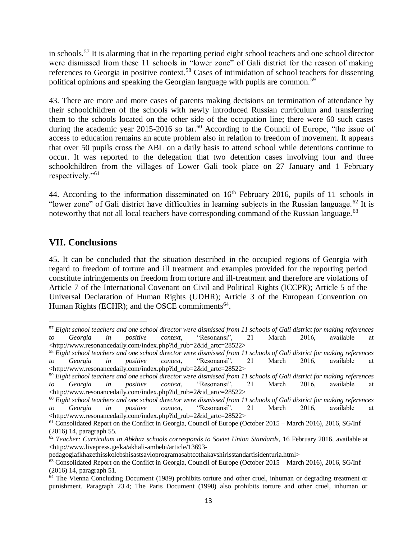in schools.<sup>57</sup> It is alarming that in the reporting period eight school teachers and one school director were dismissed from these 11 schools in "lower zone" of Gali district for the reason of making references to Georgia in positive context.<sup>58</sup> Cases of intimidation of school teachers for dissenting political opinions and speaking the Georgian language with pupils are common.<sup>59</sup>

43. There are more and more cases of parents making decisions on termination of attendance by their schoolchildren of the schools with newly introduced Russian curriculum and transferring them to the schools located on the other side of the occupation line; there were 60 such cases during the academic year  $2015$ -2016 so far.<sup>60</sup> According to the Council of Europe, "the issue of access to education remains an acute problem also in relation to freedom of movement. It appears that over 50 pupils cross the ABL on a daily basis to attend school while detentions continue to occur. It was reported to the delegation that two detention cases involving four and three schoolchildren from the villages of Lower Gali took place on 27 January and 1 February respectively."<sup>61</sup>

44. According to the information disseminated on  $16<sup>th</sup>$  February 2016, pupils of 11 schools in "lower zone" of Gali district have difficulties in learning subjects in the Russian language.<sup>62</sup> It is noteworthy that not all local teachers have corresponding command of the Russian language.<sup>63</sup>

## **VII. Conclusions**

45. It can be concluded that the situation described in the occupied regions of Georgia with regard to freedom of torture and ill treatment and examples provided for the reporting period constitute infringements on freedom from torture and ill-treatment and therefore are violations of Article 7 of the International Covenant on Civil and Political Rights (ICCPR); Article 5 of the Universal Declaration of Human Rights (UDHR); Article 3 of the European Convention on Human Rights (ECHR); and the OSCE commitments $^{64}$ .

 $\overline{a}$ <sup>57</sup> *Eight school teachers and one school director were dismissed from 11 schools of Gali district for making references to Georgia in positive context*, "Resonansi", 21 March 2016, available at <http://www.resonancedaily.com/index.php?id\_rub=2&id\_artc=28522>

<sup>58</sup> *Eight school teachers and one school director were dismissed from 11 schools of Gali district for making references to Georgia in positive context*, "Resonansi", 21 March 2016, available at <http://www.resonancedaily.com/index.php?id\_rub=2&id\_artc=28522>

<sup>59</sup> *Eight school teachers and one school director were dismissed from 11 schools of Gali district for making references to Georgia in positive context*, "Resonansi", 21 March 2016, available at <http://www.resonancedaily.com/index.php?id\_rub=2&id\_artc=28522>

<sup>60</sup> *Eight school teachers and one school director were dismissed from 11 schools of Gali district for making references to Georgia in positive context*, "Resonansi", 21 March 2016, available at <http://www.resonancedaily.com/index.php?id\_rub=2&id\_artc=28522>

<sup>61</sup> Consolidated Report on the Conflict in Georgia, Council of Europe (October 2015 – March 2016), 2016, SG/Inf (2016) 14, paragraph 55.

<sup>62</sup> *Teacher: Curriculum in Abkhaz schools corresponds to Soviet Union Standards*, 16 February 2016, available at <http://www.livepress.ge/ka/akhali-ambebi/article/13693-

pedagogiafkhazethisskolebshisastsavloprogramasabtcothakavshirisstandartisidenturia.html>

<sup>63</sup> Consolidated Report on the Conflict in Georgia, Council of Europe (October 2015 – March 2016), 2016, SG/Inf (2016) 14, paragraph 51.

<sup>64</sup> The Vienna Concluding Document (1989) prohibits torture and other cruel, inhuman or degrading treatment or punishment. Paragraph 23.4; The Paris Document (1990) also prohibits torture and other cruel, inhuman or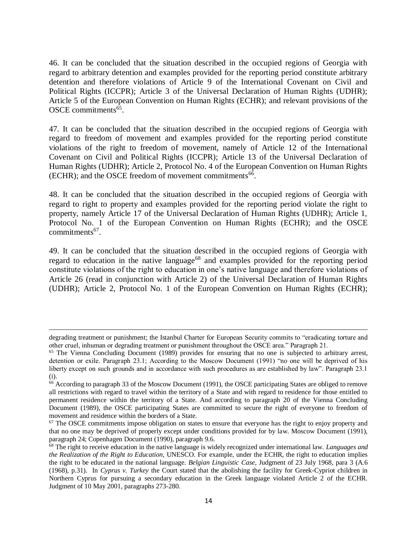46. It can be concluded that the situation described in the occupied regions of Georgia with regard to arbitrary detention and examples provided for the reporting period constitute arbitrary detention and therefore violations of Article 9 of the International Covenant on Civil and Political Rights (ICCPR); Article 3 of the Universal Declaration of Human Rights (UDHR); Article 5 of the European Convention on Human Rights (ECHR); and relevant provisions of the OSCE commitments<sup>65</sup>.

47. It can be concluded that the situation described in the occupied regions of Georgia with regard to freedom of movement and examples provided for the reporting period constitute violations of the right to freedom of movement, namely of Article 12 of the International Covenant on Civil and Political Rights (ICCPR); Article 13 of the Universal Declaration of Human Rights (UDHR); Article 2, Protocol No. 4 of the European Convention on Human Rights (ECHR); and the OSCE freedom of movement commitments  $66$ .

48. It can be concluded that the situation described in the occupied regions of Georgia with regard to right to property and examples provided for the reporting period violate the right to property, namely Article 17 of the Universal Declaration of Human Rights (UDHR); Article 1, Protocol No. 1 of the European Convention on Human Rights (ECHR); and the OSCE  $commitments<sup>67</sup>$ .

49. It can be concluded that the situation described in the occupied regions of Georgia with regard to education in the native language<sup>68</sup> and examples provided for the reporting period constitute violations of the right to education in one's native language and therefore violations of Article 26 (read in conjunction with Article 2) of the Universal Declaration of Human Rights (UDHR); Article 2, Protocol No. 1 of the European Convention on Human Rights (ECHR);

 $\overline{a}$ 

degrading treatment or punishment; the Istanbul Charter for European Security commits to "eradicating torture and other cruel, inhuman or degrading treatment or punishment throughout the OSCE area." Paragraph 21.

<sup>&</sup>lt;sup>65</sup> The Vienna Concluding Document (1989) provides for ensuring that no one is subjected to arbitrary arrest, detention or exile. Paragraph 23.1; According to the Moscow Document (1991) "no one will be deprived of his liberty except on such grounds and in accordance with such procedures as are established by law". Paragraph 23.1 (i).

<sup>&</sup>lt;sup>66</sup> According to paragraph 33 of the Moscow Document (1991), the OSCE participating States are obliged to remove all restrictions with regard to travel within the territory of a State and with regard to residence for those entitled to permanent residence within the territory of a State. And according to paragraph 20 of the Vienna Concluding Document (1989), the OSCE participating States are committed to secure the right of everyone to freedom of movement and residence within the borders of a State.

<sup>&</sup>lt;sup>67</sup> The OSCE commitments impose obligation on states to ensure that everyone has the right to enjoy property and that no one may be deprived of properly except under conditions provided for by law. Moscow Document (1991), paragraph 24; Copenhagen Document (1990), paragraph 9.6.

<sup>68</sup> The right to receive education in the native language is widely recognized under international law. *Languages and the Realization of the Right to Education*, UNESCO. For example, under the ECHR, the right to education implies the right to be educated in the national language. *Belgian Linguistic Case*, Judgment of 23 July 1968, para 3 (A.6 (1968), p.31). In *Cyprus v. Turkey* the Court stated that the abolishing the facility for Greek-Cypriot children in Northern Cyprus for pursuing a secondary education in the Greek language violated Article 2 of the ECHR. Judgment of 10 May 2001, paragraphs 273-280.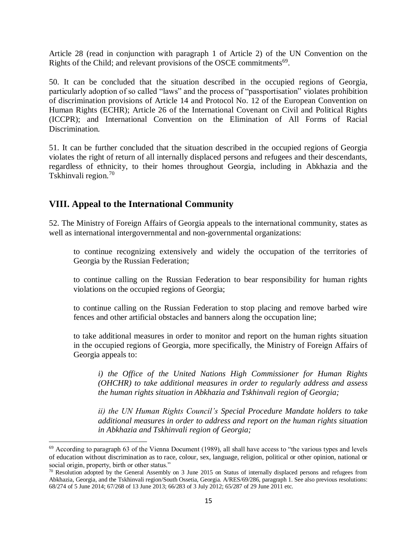Article 28 (read in conjunction with paragraph 1 of Article 2) of the UN Convention on the Rights of the Child; and relevant provisions of the OSCE commitments<sup>69</sup>.

50. It can be concluded that the situation described in the occupied regions of Georgia, particularly adoption of so called "laws" and the process of "passportisation" violates prohibition of discrimination provisions of Article 14 and Protocol No. 12 of the European Convention on Human Rights (ECHR); Article 26 of the International Covenant on Civil and Political Rights (ICCPR); and International Convention on the Elimination of All Forms of Racial Discrimination.

51. It can be further concluded that the situation described in the occupied regions of Georgia violates the right of return of all internally displaced persons and refugees and their descendants, regardless of ethnicity, to their homes throughout Georgia, including in Abkhazia and the Tskhinvali region.<sup>70</sup>

## **VIII. Appeal to the International Community**

 $\overline{\phantom{a}}$ 

52. The Ministry of Foreign Affairs of Georgia appeals to the international community, states as well as international intergovernmental and non-governmental organizations:

to continue recognizing extensively and widely the occupation of the territories of Georgia by the Russian Federation;

to continue calling on the Russian Federation to bear responsibility for human rights violations on the occupied regions of Georgia;

to continue calling on the Russian Federation to stop placing and remove barbed wire fences and other artificial obstacles and banners along the occupation line;

to take additional measures in order to monitor and report on the human rights situation in the occupied regions of Georgia, more specifically, the Ministry of Foreign Affairs of Georgia appeals to:

*i) the Office of the United Nations High Commissioner for Human Rights (OHCHR) to take additional measures in order to regularly address and assess the human rights situation in Abkhazia and Tskhinvali region of Georgia;* 

*ii) the UN Human Rights Council's Special Procedure Mandate holders to take additional measures in order to address and report on the human rights situation in Abkhazia and Tskhinvali region of Georgia;*

<sup>&</sup>lt;sup>69</sup> According to paragraph 63 of the Vienna Document (1989), all shall have access to "the various types and levels of education without discrimination as to race, colour, sex, language, religion, political or other opinion, national or social origin, property, birth or other status."

 $70$  Resolution adopted by the General Assembly on 3 June 2015 on Status of internally displaced persons and refugees from Abkhazia, Georgia, and the Tskhinvali region/South Ossetia, Georgia. A/RES/69/286, paragraph 1. See also previous resolutions: 68/274 of 5 June 2014; 67/268 of 13 June 2013; 66/283 of 3 July 2012; 65/287 of 29 June 2011 etc.